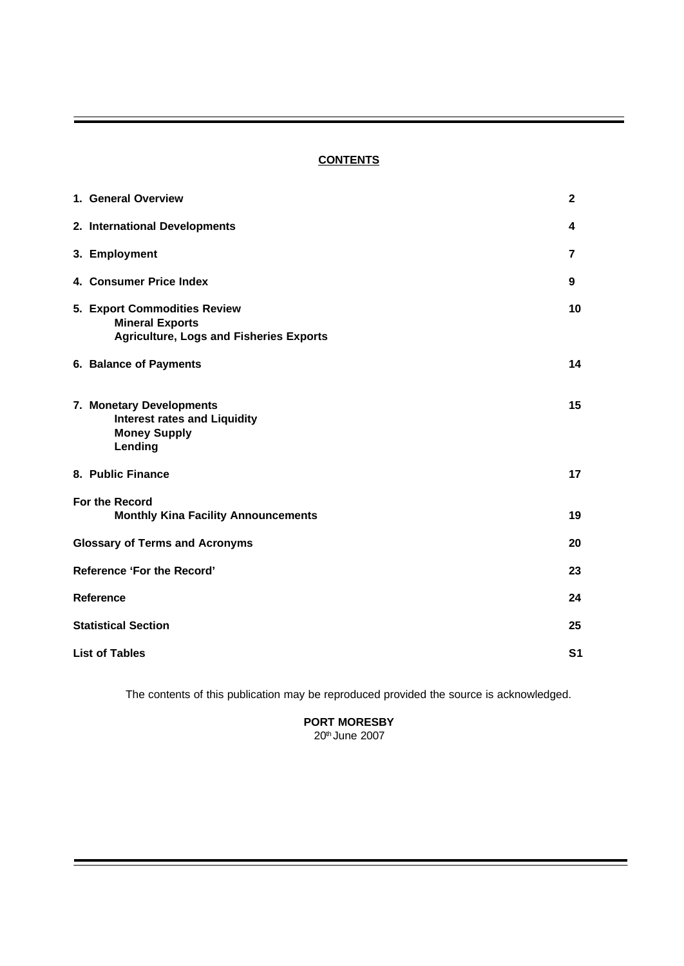# **CONTENTS**

| 1. General Overview                                                                                      | $\mathbf{2}$   |
|----------------------------------------------------------------------------------------------------------|----------------|
| 2. International Developments                                                                            | 4              |
| 3. Employment                                                                                            | 7              |
| 4. Consumer Price Index                                                                                  | 9              |
| 5. Export Commodities Review<br><b>Mineral Exports</b><br><b>Agriculture, Logs and Fisheries Exports</b> | 10             |
| 6. Balance of Payments                                                                                   | 14             |
| 7. Monetary Developments<br><b>Interest rates and Liquidity</b><br><b>Money Supply</b><br>Lending        | 15             |
| 8. Public Finance                                                                                        | 17             |
| For the Record<br><b>Monthly Kina Facility Announcements</b>                                             | 19             |
| <b>Glossary of Terms and Acronyms</b>                                                                    | 20             |
| Reference 'For the Record'                                                                               | 23             |
| <b>Reference</b>                                                                                         | 24             |
| <b>Statistical Section</b>                                                                               | 25             |
| <b>List of Tables</b>                                                                                    | S <sub>1</sub> |

The contents of this publication may be reproduced provided the source is acknowledged.

# **PORT MORESBY**

20th June 2007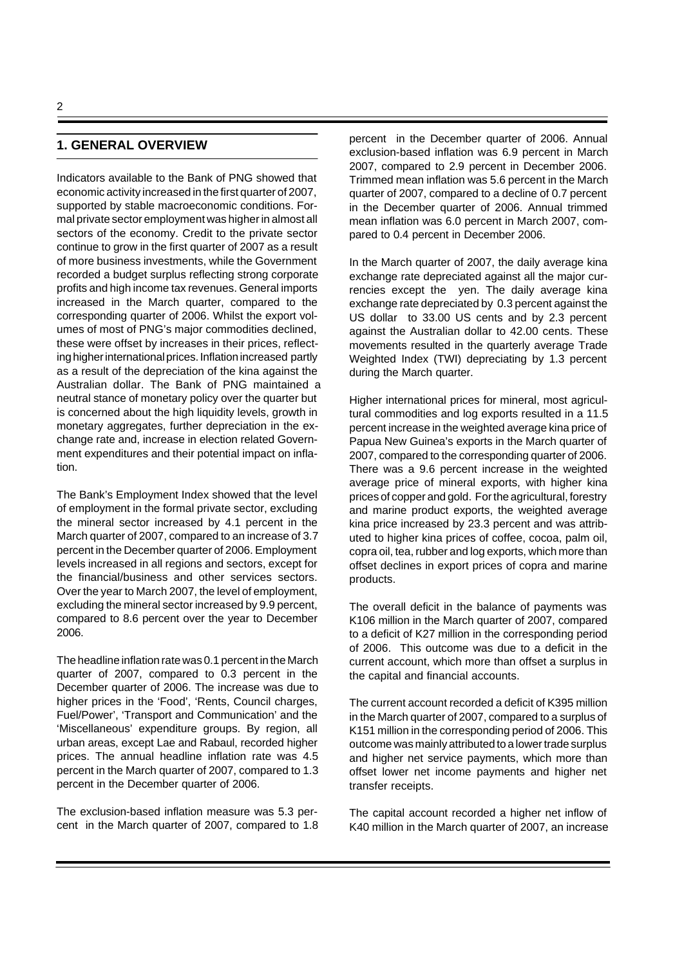## **1. GENERAL OVERVIEW**

Indicators available to the Bank of PNG showed that economic activity increased in the first quarter of 2007, supported by stable macroeconomic conditions. Formal private sector employment was higher in almost all sectors of the economy. Credit to the private sector continue to grow in the first quarter of 2007 as a result of more business investments, while the Government recorded a budget surplus reflecting strong corporate profits and high income tax revenues. General imports increased in the March quarter, compared to the corresponding quarter of 2006. Whilst the export volumes of most of PNG's major commodities declined, these were offset by increases in their prices, reflecting higher international prices. Inflation increased partly as a result of the depreciation of the kina against the Australian dollar. The Bank of PNG maintained a neutral stance of monetary policy over the quarter but is concerned about the high liquidity levels, growth in monetary aggregates, further depreciation in the exchange rate and, increase in election related Government expenditures and their potential impact on inflation.

The Bank's Employment Index showed that the level of employment in the formal private sector, excluding the mineral sector increased by 4.1 percent in the March quarter of 2007, compared to an increase of 3.7 percent in the December quarter of 2006. Employment levels increased in all regions and sectors, except for the financial/business and other services sectors. Over the year to March 2007, the level of employment, excluding the mineral sector increased by 9.9 percent, compared to 8.6 percent over the year to December 2006.

The headline inflation rate was 0.1 percent in the March quarter of 2007, compared to 0.3 percent in the December quarter of 2006. The increase was due to higher prices in the 'Food', 'Rents, Council charges, Fuel/Power', 'Transport and Communication' and the 'Miscellaneous' expenditure groups. By region, all urban areas, except Lae and Rabaul, recorded higher prices. The annual headline inflation rate was 4.5 percent in the March quarter of 2007, compared to 1.3 percent in the December quarter of 2006.

The exclusion-based inflation measure was 5.3 percent in the March quarter of 2007, compared to 1.8 percent in the December quarter of 2006. Annual exclusion-based inflation was 6.9 percent in March 2007, compared to 2.9 percent in December 2006. Trimmed mean inflation was 5.6 percent in the March quarter of 2007, compared to a decline of 0.7 percent in the December quarter of 2006. Annual trimmed mean inflation was 6.0 percent in March 2007, compared to 0.4 percent in December 2006.

In the March quarter of 2007, the daily average kina exchange rate depreciated against all the major currencies except the yen. The daily average kina exchange rate depreciated by 0.3 percent against the US dollar to 33.00 US cents and by 2.3 percent against the Australian dollar to 42.00 cents. These movements resulted in the quarterly average Trade Weighted Index (TWI) depreciating by 1.3 percent during the March quarter.

Higher international prices for mineral, most agricultural commodities and log exports resulted in a 11.5 percent increase in the weighted average kina price of Papua New Guinea's exports in the March quarter of 2007, compared to the corresponding quarter of 2006. There was a 9.6 percent increase in the weighted average price of mineral exports, with higher kina prices of copper and gold. For the agricultural, forestry and marine product exports, the weighted average kina price increased by 23.3 percent and was attributed to higher kina prices of coffee, cocoa, palm oil, copra oil, tea, rubber and log exports, which more than offset declines in export prices of copra and marine products.

The overall deficit in the balance of payments was K106 million in the March quarter of 2007, compared to a deficit of K27 million in the corresponding period of 2006. This outcome was due to a deficit in the current account, which more than offset a surplus in the capital and financial accounts.

The current account recorded a deficit of K395 million in the March quarter of 2007, compared to a surplus of K151 million in the corresponding period of 2006. This outcome was mainly attributed to a lower trade surplus and higher net service payments, which more than offset lower net income payments and higher net transfer receipts.

The capital account recorded a higher net inflow of K40 million in the March quarter of 2007, an increase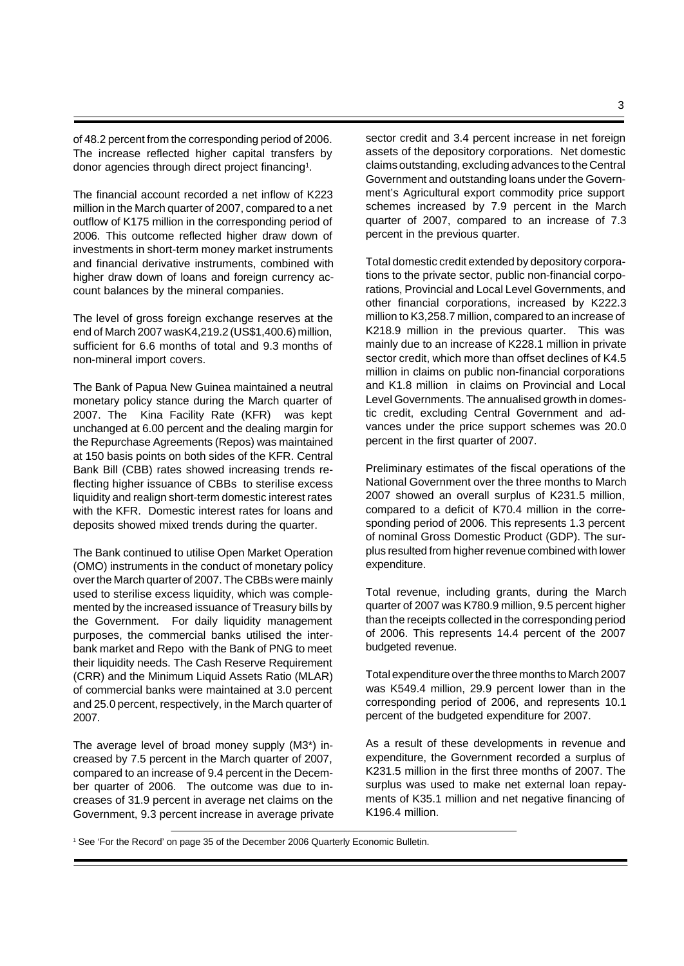of 48.2 percent from the corresponding period of 2006. The increase reflected higher capital transfers by donor agencies through direct project financing<sup>1</sup>.

The financial account recorded a net inflow of K223 million in the March quarter of 2007, compared to a net outflow of K175 million in the corresponding period of 2006. This outcome reflected higher draw down of investments in short-term money market instruments and financial derivative instruments, combined with higher draw down of loans and foreign currency account balances by the mineral companies.

The level of gross foreign exchange reserves at the end of March 2007 was K4,219.2 (US\$1,400.6) million, sufficient for 6.6 months of total and 9.3 months of non-mineral import covers.

The Bank of Papua New Guinea maintained a neutral monetary policy stance during the March quarter of 2007. The Kina Facility Rate (KFR) was kept unchanged at 6.00 percent and the dealing margin for the Repurchase Agreements (Repos) was maintained at 150 basis points on both sides of the KFR. Central Bank Bill (CBB) rates showed increasing trends reflecting higher issuance of CBBs to sterilise excess liquidity and realign short-term domestic interest rates with the KFR. Domestic interest rates for loans and deposits showed mixed trends during the quarter.

The Bank continued to utilise Open Market Operation (OMO) instruments in the conduct of monetary policy over the March quarter of 2007. The CBBs were mainly used to sterilise excess liquidity, which was complemented by the increased issuance of Treasury bills by the Government. For daily liquidity management purposes, the commercial banks utilised the interbank market and Repo with the Bank of PNG to meet their liquidity needs. The Cash Reserve Requirement (CRR) and the Minimum Liquid Assets Ratio (MLAR) of commercial banks were maintained at 3.0 percent and 25.0 percent, respectively, in the March quarter of 2007.

The average level of broad money supply (M3\*) increased by 7.5 percent in the March quarter of 2007, compared to an increase of 9.4 percent in the December quarter of 2006. The outcome was due to increases of 31.9 percent in average net claims on the Government, 9.3 percent increase in average private sector credit and 3.4 percent increase in net foreign assets of the depository corporations. Net domestic claims outstanding, excluding advances to the Central Government and outstanding loans under the Government's Agricultural export commodity price support schemes increased by 7.9 percent in the March quarter of 2007, compared to an increase of 7.3 percent in the previous quarter.

Total domestic credit extended by depository corporations to the private sector, public non-financial corporations, Provincial and Local Level Governments, and other financial corporations, increased by K222.3 million to K3,258.7 million, compared to an increase of K218.9 million in the previous quarter. This was mainly due to an increase of K228.1 million in private sector credit, which more than offset declines of K4.5 million in claims on public non-financial corporations and K1.8 million in claims on Provincial and Local Level Governments. The annualised growth in domestic credit, excluding Central Government and advances under the price support schemes was 20.0 percent in the first quarter of 2007.

Preliminary estimates of the fiscal operations of the National Government over the three months to March 2007 showed an overall surplus of K231.5 million, compared to a deficit of K70.4 million in the corresponding period of 2006. This represents 1.3 percent of nominal Gross Domestic Product (GDP). The surplus resulted from higher revenue combined with lower expenditure.

Total revenue, including grants, during the March quarter of 2007 was K780.9 million, 9.5 percent higher than the receipts collected in the corresponding period of 2006. This represents 14.4 percent of the 2007 budgeted revenue.

Total expenditure over the three months to March 2007 was K549.4 million, 29.9 percent lower than in the corresponding period of 2006, and represents 10.1 percent of the budgeted expenditure for 2007.

As a result of these developments in revenue and expenditure, the Government recorded a surplus of K231.5 million in the first three months of 2007. The surplus was used to make net external loan repayments of K35.1 million and net negative financing of K196.4 million.

1 See 'For the Record' on page 35 of the December 2006 Quarterly Economic Bulletin.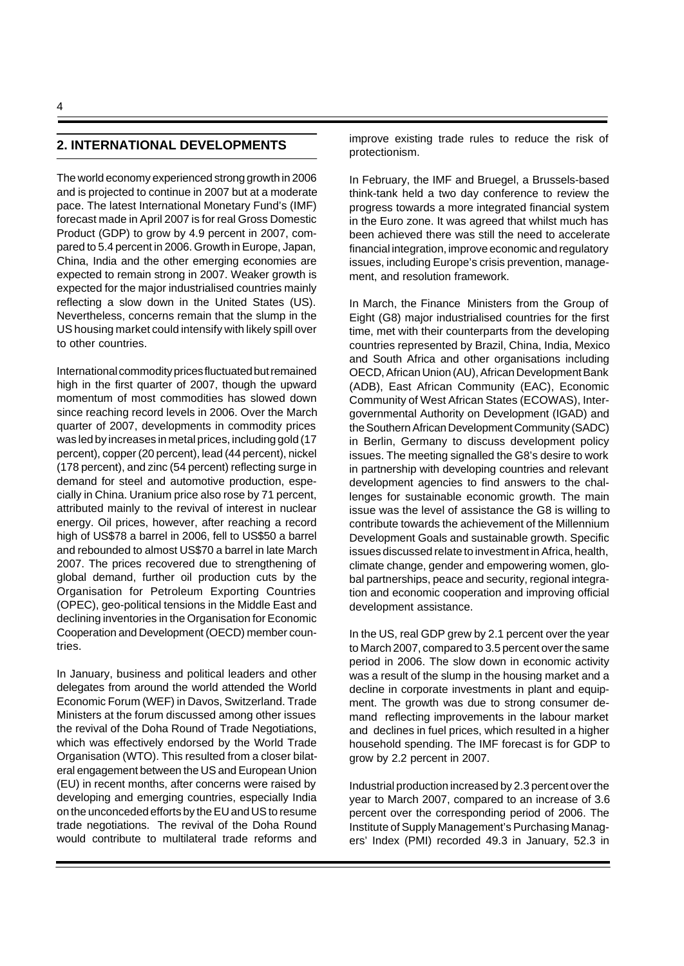# **2. INTERNATIONAL DEVELOPMENTS**

The world economy experienced strong growth in 2006 and is projected to continue in 2007 but at a moderate pace. The latest International Monetary Fund's (IMF) forecast made in April 2007 is for real Gross Domestic Product (GDP) to grow by 4.9 percent in 2007, compared to 5.4 percent in 2006. Growth in Europe, Japan, China, India and the other emerging economies are expected to remain strong in 2007. Weaker growth is expected for the major industrialised countries mainly reflecting a slow down in the United States (US). Nevertheless, concerns remain that the slump in the US housing market could intensify with likely spill over to other countries.

International commodity prices fluctuated but remained high in the first quarter of 2007, though the upward momentum of most commodities has slowed down since reaching record levels in 2006. Over the March quarter of 2007, developments in commodity prices was led by increases in metal prices, including gold (17 percent), copper (20 percent), lead (44 percent), nickel (178 percent), and zinc (54 percent) reflecting surge in demand for steel and automotive production, especially in China. Uranium price also rose by 71 percent, attributed mainly to the revival of interest in nuclear energy. Oil prices, however, after reaching a record high of US\$78 a barrel in 2006, fell to US\$50 a barrel and rebounded to almost US\$70 a barrel in late March 2007. The prices recovered due to strengthening of global demand, further oil production cuts by the Organisation for Petroleum Exporting Countries (OPEC), geo-political tensions in the Middle East and declining inventories in the Organisation for Economic Cooperation and Development (OECD) member countries.

In January, business and political leaders and other delegates from around the world attended the World Economic Forum (WEF) in Davos, Switzerland. Trade Ministers at the forum discussed among other issues the revival of the Doha Round of Trade Negotiations, which was effectively endorsed by the World Trade Organisation (WTO). This resulted from a closer bilateral engagement between the US and European Union (EU) in recent months, after concerns were raised by developing and emerging countries, especially India on the unconceded efforts by the EU and US to resume trade negotiations. The revival of the Doha Round would contribute to multilateral trade reforms and

improve existing trade rules to reduce the risk of protectionism.

In February, the IMF and Bruegel, a Brussels-based think-tank held a two day conference to review the progress towards a more integrated financial system in the Euro zone. It was agreed that whilst much has been achieved there was still the need to accelerate financial integration, improve economic and regulatory issues, including Europe's crisis prevention, management, and resolution framework.

In March, the Finance Ministers from the Group of Eight (G8) major industrialised countries for the first time, met with their counterparts from the developing countries represented by Brazil, China, India, Mexico and South Africa and other organisations including OECD, African Union (AU), African Development Bank (ADB), East African Community (EAC), Economic Community of West African States (ECOWAS), Intergovernmental Authority on Development (IGAD) and the Southern African Development Community (SADC) in Berlin, Germany to discuss development policy issues. The meeting signalled the G8's desire to work in partnership with developing countries and relevant development agencies to find answers to the challenges for sustainable economic growth. The main issue was the level of assistance the G8 is willing to contribute towards the achievement of the Millennium Development Goals and sustainable growth. Specific issues discussed relate to investment in Africa, health, climate change, gender and empowering women, global partnerships, peace and security, regional integration and economic cooperation and improving official development assistance.

In the US, real GDP grew by 2.1 percent over the year to March 2007, compared to 3.5 percent over the same period in 2006. The slow down in economic activity was a result of the slump in the housing market and a decline in corporate investments in plant and equipment. The growth was due to strong consumer demand reflecting improvements in the labour market and declines in fuel prices, which resulted in a higher household spending. The IMF forecast is for GDP to grow by 2.2 percent in 2007.

Industrial production increased by 2.3 percent over the year to March 2007, compared to an increase of 3.6 percent over the corresponding period of 2006. The Institute of Supply Management's Purchasing Managers' Index (PMI) recorded 49.3 in January, 52.3 in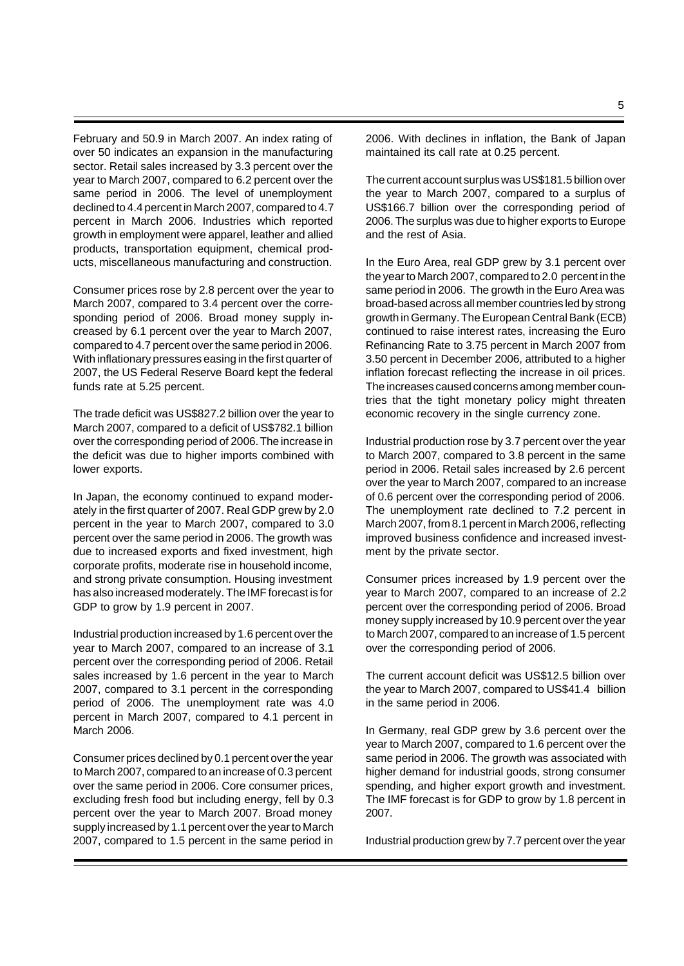February and 50.9 in March 2007. An index rating of over 50 indicates an expansion in the manufacturing sector. Retail sales increased by 3.3 percent over the year to March 2007, compared to 6.2 percent over the same period in 2006. The level of unemployment declined to 4.4 percent in March 2007, compared to 4.7 percent in March 2006. Industries which reported growth in employment were apparel, leather and allied products, transportation equipment, chemical products, miscellaneous manufacturing and construction.

Consumer prices rose by 2.8 percent over the year to March 2007, compared to 3.4 percent over the corresponding period of 2006. Broad money supply increased by 6.1 percent over the year to March 2007, compared to 4.7 percent over the same period in 2006. With inflationary pressures easing in the first quarter of 2007, the US Federal Reserve Board kept the federal funds rate at 5.25 percent.

The trade deficit was US\$827.2 billion over the year to March 2007, compared to a deficit of US\$782.1 billion over the corresponding period of 2006. The increase in the deficit was due to higher imports combined with lower exports.

In Japan, the economy continued to expand moderately in the first quarter of 2007. Real GDP grew by 2.0 percent in the year to March 2007, compared to 3.0 percent over the same period in 2006. The growth was due to increased exports and fixed investment, high corporate profits, moderate rise in household income, and strong private consumption. Housing investment has also increased moderately. The IMF forecast is for GDP to grow by 1.9 percent in 2007.

Industrial production increased by 1.6 percent over the year to March 2007, compared to an increase of 3.1 percent over the corresponding period of 2006. Retail sales increased by 1.6 percent in the year to March 2007, compared to 3.1 percent in the corresponding period of 2006. The unemployment rate was 4.0 percent in March 2007, compared to 4.1 percent in March 2006.

Consumer prices declined by 0.1 percent over the year to March 2007, compared to an increase of 0.3 percent over the same period in 2006. Core consumer prices, excluding fresh food but including energy, fell by 0.3 percent over the year to March 2007. Broad money supply increased by 1.1 percent over the year to March 2007, compared to 1.5 percent in the same period in

2006. With declines in inflation, the Bank of Japan maintained its call rate at 0.25 percent.

The current account surplus was US\$181.5 billion over the year to March 2007, compared to a surplus of US\$166.7 billion over the corresponding period of 2006. The surplus was due to higher exports to Europe and the rest of Asia.

In the Euro Area, real GDP grew by 3.1 percent over the year to March 2007, compared to 2.0 percent in the same period in 2006. The growth in the Euro Area was broad-based across all member countries led by strong growth in Germany.The European Central Bank (ECB) continued to raise interest rates, increasing the Euro Refinancing Rate to 3.75 percent in March 2007 from 3.50 percent in December 2006, attributed to a higher inflation forecast reflecting the increase in oil prices. The increases caused concerns among member countries that the tight monetary policy might threaten economic recovery in the single currency zone.

Industrial production rose by 3.7 percent over the year to March 2007, compared to 3.8 percent in the same period in 2006. Retail sales increased by 2.6 percent over the year to March 2007, compared to an increase of 0.6 percent over the corresponding period of 2006. The unemployment rate declined to 7.2 percent in March 2007, from 8.1 percent in March 2006, reflecting improved business confidence and increased investment by the private sector.

Consumer prices increased by 1.9 percent over the year to March 2007, compared to an increase of 2.2 percent over the corresponding period of 2006. Broad money supply increased by 10.9 percent over the year to March 2007, compared to an increase of 1.5 percent over the corresponding period of 2006.

The current account deficit was US\$12.5 billion over the year to March 2007, compared to US\$41.4 billion in the same period in 2006.

In Germany, real GDP grew by 3.6 percent over the year to March 2007, compared to 1.6 percent over the same period in 2006. The growth was associated with higher demand for industrial goods, strong consumer spending, and higher export growth and investment. The IMF forecast is for GDP to grow by 1.8 percent in 2007.

Industrial production grew by 7.7 percent over the year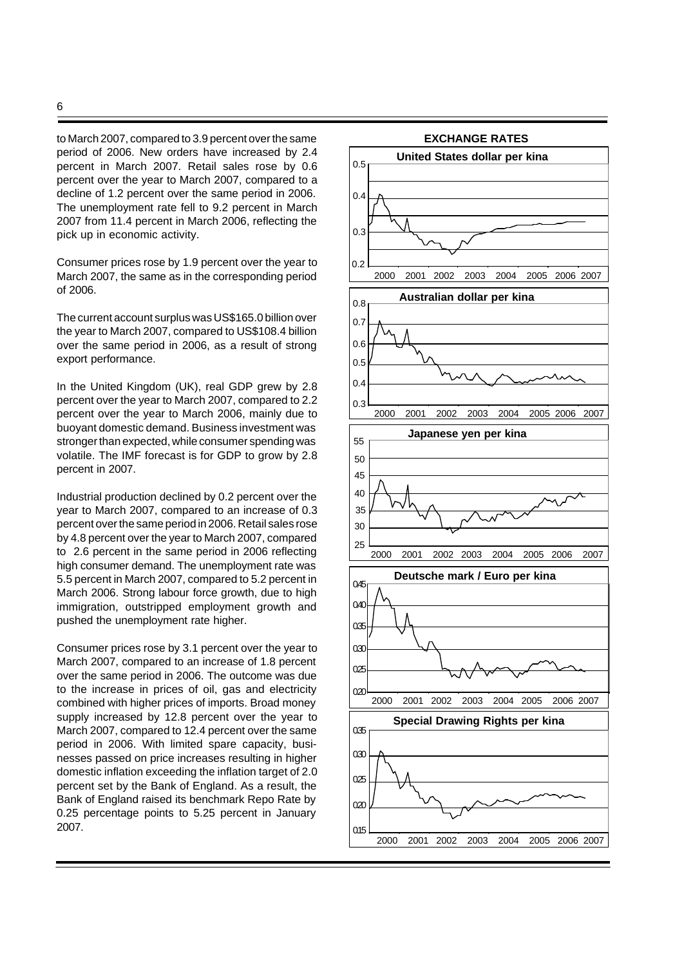to March 2007, compared to 3.9 percent over the same period of 2006. New orders have increased by 2.4 percent in March 2007. Retail sales rose by 0.6 percent over the year to March 2007, compared to a decline of 1.2 percent over the same period in 2006. The unemployment rate fell to 9.2 percent in March 2007 from 11.4 percent in March 2006, reflecting the pick up in economic activity.

Consumer prices rose by 1.9 percent over the year to March 2007, the same as in the corresponding period of 2006.

The current account surplus was US\$165.0 billion over the year to March 2007, compared to US\$108.4 billion over the same period in 2006, as a result of strong export performance.

In the United Kingdom (UK), real GDP grew by 2.8 percent over the year to March 2007, compared to 2.2 percent over the year to March 2006, mainly due to buoyant domestic demand. Business investment was stronger than expected, while consumer spending was volatile. The IMF forecast is for GDP to grow by 2.8 percent in 2007.

Industrial production declined by 0.2 percent over the year to March 2007, compared to an increase of 0.3 percent over the same period in 2006. Retail sales rose by 4.8 percent over the year to March 2007, compared to 2.6 percent in the same period in 2006 reflecting high consumer demand. The unemployment rate was 5.5 percent in March 2007, compared to 5.2 percent in March 2006. Strong labour force growth, due to high immigration, outstripped employment growth and pushed the unemployment rate higher.

Consumer prices rose by 3.1 percent over the year to March 2007, compared to an increase of 1.8 percent over the same period in 2006. The outcome was due to the increase in prices of oil, gas and electricity combined with higher prices of imports. Broad money supply increased by 12.8 percent over the year to March 2007, compared to 12.4 percent over the same period in 2006. With limited spare capacity, businesses passed on price increases resulting in higher domestic inflation exceeding the inflation target of 2.0 percent set by the Bank of England. As a result, the Bank of England raised its benchmark Repo Rate by 0.25 percentage points to 5.25 percent in January 2007.

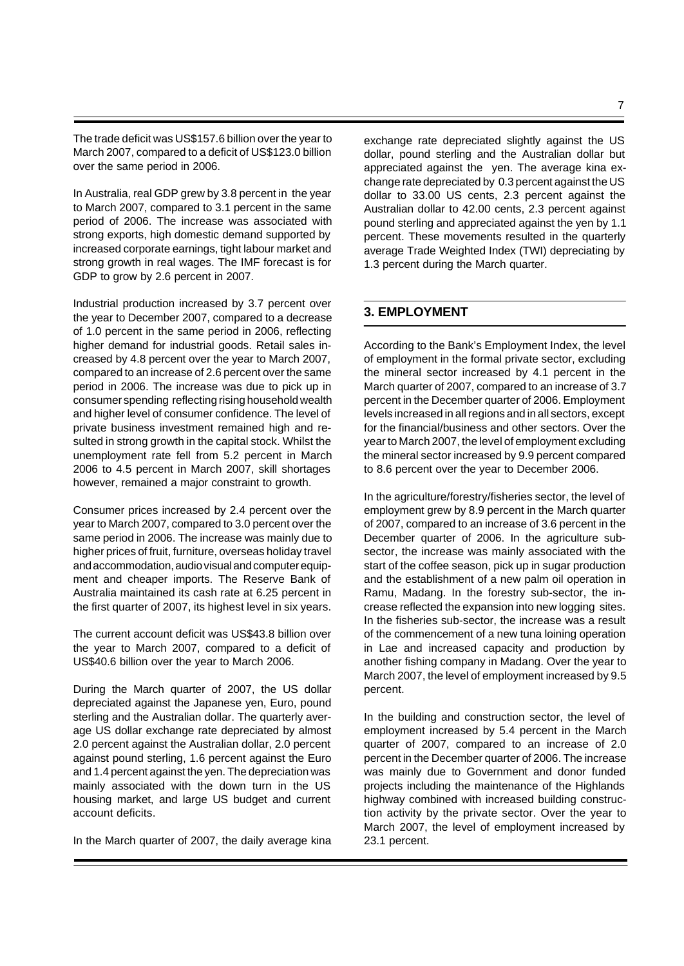The trade deficit was US\$157.6 billion over the year to March 2007, compared to a deficit of US\$123.0 billion over the same period in 2006.

In Australia, real GDP grew by 3.8 percent in the year to March 2007, compared to 3.1 percent in the same period of 2006. The increase was associated with strong exports, high domestic demand supported by increased corporate earnings, tight labour market and strong growth in real wages. The IMF forecast is for GDP to grow by 2.6 percent in 2007.

Industrial production increased by 3.7 percent over the year to December 2007, compared to a decrease of 1.0 percent in the same period in 2006, reflecting higher demand for industrial goods. Retail sales increased by 4.8 percent over the year to March 2007, compared to an increase of 2.6 percent over the same period in 2006. The increase was due to pick up in consumer spending reflecting rising household wealth and higher level of consumer confidence. The level of private business investment remained high and resulted in strong growth in the capital stock. Whilst the unemployment rate fell from 5.2 percent in March 2006 to 4.5 percent in March 2007, skill shortages however, remained a major constraint to growth.

Consumer prices increased by 2.4 percent over the year to March 2007, compared to 3.0 percent over the same period in 2006. The increase was mainly due to higher prices of fruit, furniture, overseas holiday travel and accommodation, audio visual and computer equipment and cheaper imports. The Reserve Bank of Australia maintained its cash rate at 6.25 percent in the first quarter of 2007, its highest level in six years.

The current account deficit was US\$43.8 billion over the year to March 2007, compared to a deficit of US\$40.6 billion over the year to March 2006.

During the March quarter of 2007, the US dollar depreciated against the Japanese yen, Euro, pound sterling and the Australian dollar. The quarterly average US dollar exchange rate depreciated by almost 2.0 percent against the Australian dollar, 2.0 percent against pound sterling, 1.6 percent against the Euro and 1.4 percent against the yen. The depreciation was mainly associated with the down turn in the US housing market, and large US budget and current account deficits.

In the March quarter of 2007, the daily average kina

exchange rate depreciated slightly against the US dollar, pound sterling and the Australian dollar but appreciated against the yen. The average kina exchange rate depreciated by 0.3 percent against the US dollar to 33.00 US cents, 2.3 percent against the Australian dollar to 42.00 cents, 2.3 percent against pound sterling and appreciated against the yen by 1.1 percent. These movements resulted in the quarterly average Trade Weighted Index (TWI) depreciating by 1.3 percent during the March quarter.

# **3. EMPLOYMENT**

According to the Bank's Employment Index, the level of employment in the formal private sector, excluding the mineral sector increased by 4.1 percent in the March quarter of 2007, compared to an increase of 3.7 percent in the December quarter of 2006. Employment levels increased in all regions and in all sectors, except for the financial/business and other sectors. Over the year to March 2007, the level of employment excluding the mineral sector increased by 9.9 percent compared to 8.6 percent over the year to December 2006.

In the agriculture/forestry/fisheries sector, the level of employment grew by 8.9 percent in the March quarter of 2007, compared to an increase of 3.6 percent in the December quarter of 2006. In the agriculture subsector, the increase was mainly associated with the start of the coffee season, pick up in sugar production and the establishment of a new palm oil operation in Ramu, Madang. In the forestry sub-sector, the increase reflected the expansion into new logging sites. In the fisheries sub-sector, the increase was a result of the commencement of a new tuna loining operation in Lae and increased capacity and production by another fishing company in Madang. Over the year to March 2007, the level of employment increased by 9.5 percent.

In the building and construction sector, the level of employment increased by 5.4 percent in the March quarter of 2007, compared to an increase of 2.0 percent in the December quarter of 2006. The increase was mainly due to Government and donor funded projects including the maintenance of the Highlands highway combined with increased building construction activity by the private sector. Over the year to March 2007, the level of employment increased by 23.1 percent.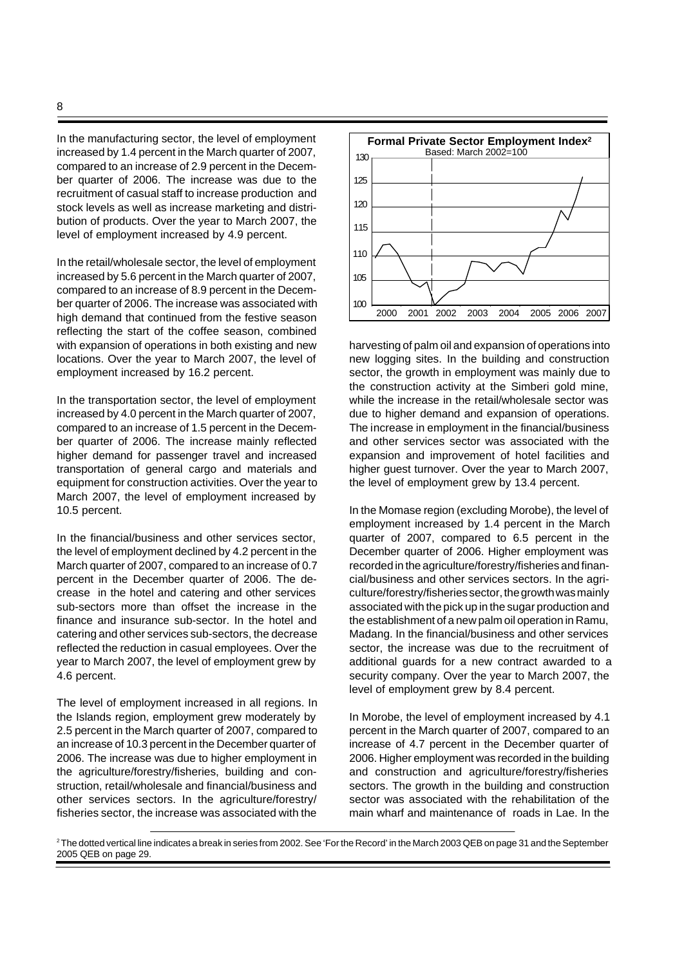In the manufacturing sector, the level of employment increased by 1.4 percent in the March quarter of 2007, compared to an increase of 2.9 percent in the December quarter of 2006. The increase was due to the recruitment of casual staff to increase production and stock levels as well as increase marketing and distribution of products. Over the year to March 2007, the level of employment increased by 4.9 percent.

In the retail/wholesale sector, the level of employment increased by 5.6 percent in the March quarter of 2007, compared to an increase of 8.9 percent in the December quarter of 2006. The increase was associated with high demand that continued from the festive season reflecting the start of the coffee season, combined with expansion of operations in both existing and new locations. Over the year to March 2007, the level of employment increased by 16.2 percent.

In the transportation sector, the level of employment increased by 4.0 percent in the March quarter of 2007, compared to an increase of 1.5 percent in the December quarter of 2006. The increase mainly reflected higher demand for passenger travel and increased transportation of general cargo and materials and equipment for construction activities. Over the year to March 2007, the level of employment increased by 10.5 percent.

In the financial/business and other services sector, the level of employment declined by 4.2 percent in the March quarter of 2007, compared to an increase of 0.7 percent in the December quarter of 2006. The decrease in the hotel and catering and other services sub-sectors more than offset the increase in the finance and insurance sub-sector. In the hotel and catering and other services sub-sectors, the decrease reflected the reduction in casual employees. Over the year to March 2007, the level of employment grew by 4.6 percent.

The level of employment increased in all regions. In the Islands region, employment grew moderately by 2.5 percent in the March quarter of 2007, compared to an increase of 10.3 percent in the December quarter of 2006. The increase was due to higher employment in the agriculture/forestry/fisheries, building and construction, retail/wholesale and financial/business and other services sectors. In the agriculture/forestry/ fisheries sector, the increase was associated with the



harvesting of palm oil and expansion of operations into new logging sites. In the building and construction sector, the growth in employment was mainly due to the construction activity at the Simberi gold mine, while the increase in the retail/wholesale sector was due to higher demand and expansion of operations. The increase in employment in the financial/business and other services sector was associated with the expansion and improvement of hotel facilities and higher guest turnover. Over the year to March 2007, the level of employment grew by 13.4 percent.

In the Momase region (excluding Morobe), the level of employment increased by 1.4 percent in the March quarter of 2007, compared to 6.5 percent in the December quarter of 2006. Higher employment was recorded in the agriculture/forestry/fisheries and financial/business and other services sectors. In the agriculture/forestry/fisheries sector, the growth was mainly associated with the pick up in the sugar production and the establishment of a new palm oil operation in Ramu, Madang. In the financial/business and other services sector, the increase was due to the recruitment of additional guards for a new contract awarded to a security company. Over the year to March 2007, the level of employment grew by 8.4 percent.

In Morobe, the level of employment increased by 4.1 percent in the March quarter of 2007, compared to an increase of 4.7 percent in the December quarter of 2006. Higher employment was recorded in the building and construction and agriculture/forestry/fisheries sectors. The growth in the building and construction sector was associated with the rehabilitation of the main wharf and maintenance of roads in Lae. In the

<sup>2</sup> The dotted vertical line indicates a break in series from 2002. See 'For the Record' in the March 2003 QEB on page 31 and the September 2005 QEB on page 29.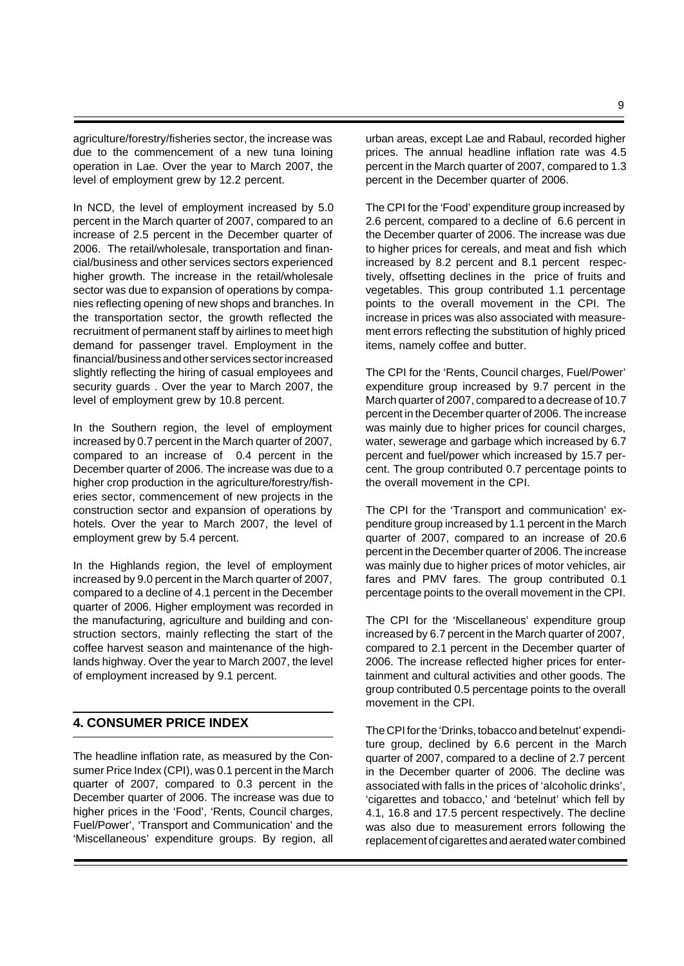agriculture/forestry/fisheries sector, the increase was due to the commencement of a new tuna loining operation in Lae. Over the year to March 2007, the level of employment grew by 12.2 percent.

In NCD, the level of employment increased by 5.0 percent in the March quarter of 2007, compared to an increase of 2.5 percent in the December quarter of 2006. The retail/wholesale, transportation and financial/business and other services sectors experienced higher growth. The increase in the retail/wholesale sector was due to expansion of operations by companies reflecting opening of new shops and branches. In the transportation sector, the growth reflected the recruitment of permanent staff by airlines to meet high demand for passenger travel. Employment in the financial/business and other services sector increased slightly reflecting the hiring of casual employees and security guards . Over the year to March 2007, the level of employment grew by 10.8 percent.

In the Southern region, the level of employment increased by 0.7 percent in the March quarter of 2007, compared to an increase of 0.4 percent in the December quarter of 2006. The increase was due to a higher crop production in the agriculture/forestry/fisheries sector, commencement of new projects in the construction sector and expansion of operations by hotels. Over the year to March 2007, the level of employment grew by 5.4 percent.

In the Highlands region, the level of employment increased by 9.0 percent in the March quarter of 2007, compared to a decline of 4.1 percent in the December quarter of 2006. Higher employment was recorded in the manufacturing, agriculture and building and construction sectors, mainly reflecting the start of the coffee harvest season and maintenance of the highlands highway. Over the year to March 2007, the level of employment increased by 9.1 percent.

# **4. CONSUMER PRICE INDEX**

The headline inflation rate, as measured by the Consumer Price Index (CPI), was 0.1 percent in the March quarter of 2007, compared to 0.3 percent in the December quarter of 2006. The increase was due to higher prices in the 'Food', 'Rents, Council charges, Fuel/Power', 'Transport and Communication' and the 'Miscellaneous' expenditure groups. By region, all

urban areas, except Lae and Rabaul, recorded higher prices. The annual headline inflation rate was 4.5 percent in the March quarter of 2007, compared to 1.3 percent in the December quarter of 2006.

The CPI for the 'Food' expenditure group increased by 2.6 percent, compared to a decline of 6.6 percent in the December quarter of 2006. The increase was due to higher prices for cereals, and meat and fish which increased by 8.2 percent and 8.1 percent respectively, offsetting declines in the price of fruits and vegetables. This group contributed 1.1 percentage points to the overall movement in the CPI. The increase in prices was also associated with measurement errors reflecting the substitution of highly priced items, namely coffee and butter.

The CPI for the 'Rents, Council charges, Fuel/Power' expenditure group increased by 9.7 percent in the March quarter of 2007, compared to a decrease of 10.7 percent in the December quarter of 2006. The increase was mainly due to higher prices for council charges, water, sewerage and garbage which increased by 6.7 percent and fuel/power which increased by 15.7 percent. The group contributed 0.7 percentage points to the overall movement in the CPI.

The CPI for the 'Transport and communication' expenditure group increased by 1.1 percent in the March quarter of 2007, compared to an increase of 20.6 percent in the December quarter of 2006. The increase was mainly due to higher prices of motor vehicles, air fares and PMV fares. The group contributed 0.1 percentage points to the overall movement in the CPI.

The CPI for the 'Miscellaneous' expenditure group increased by 6.7 percent in the March quarter of 2007, compared to 2.1 percent in the December quarter of 2006. The increase reflected higher prices for entertainment and cultural activities and other goods. The group contributed 0.5 percentage points to the overall movement in the CPI.

The CPI for the 'Drinks, tobacco and betelnut' expenditure group, declined by 6.6 percent in the March quarter of 2007, compared to a decline of 2.7 percent in the December quarter of 2006. The decline was associated with falls in the prices of 'alcoholic drinks', 'cigarettes and tobacco,' and 'betelnut' which fell by 4.1, 16.8 and 17.5 percent respectively. The decline was also due to measurement errors following the replacement of cigarettes and aerated water combined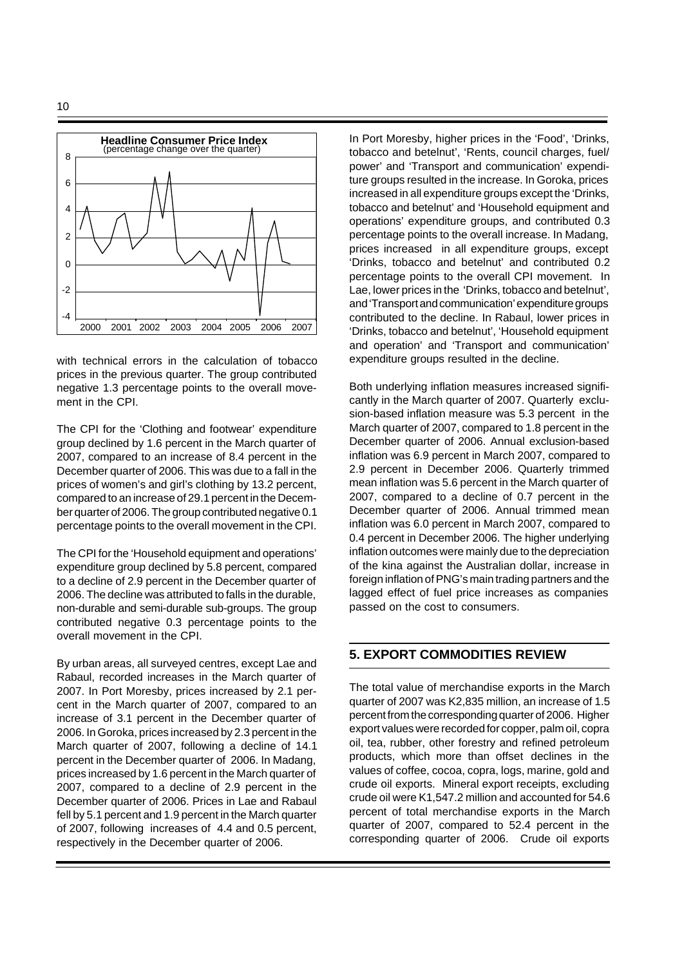



with technical errors in the calculation of tobacco prices in the previous quarter. The group contributed negative 1.3 percentage points to the overall movement in the CPI.

The CPI for the 'Clothing and footwear' expenditure group declined by 1.6 percent in the March quarter of 2007, compared to an increase of 8.4 percent in the December quarter of 2006. This was due to a fall in the prices of women's and girl's clothing by 13.2 percent, compared to an increase of 29.1 percent in the December quarter of 2006. The group contributed negative 0.1 percentage points to the overall movement in the CPI.

The CPI for the 'Household equipment and operations' expenditure group declined by 5.8 percent, compared to a decline of 2.9 percent in the December quarter of 2006. The decline was attributed to falls in the durable, non-durable and semi-durable sub-groups. The group contributed negative 0.3 percentage points to the overall movement in the CPI.

By urban areas, all surveyed centres, except Lae and Rabaul, recorded increases in the March quarter of 2007. In Port Moresby, prices increased by 2.1 percent in the March quarter of 2007, compared to an increase of 3.1 percent in the December quarter of 2006. In Goroka, prices increased by 2.3 percent in the March quarter of 2007, following a decline of 14.1 percent in the December quarter of 2006. In Madang, prices increased by 1.6 percent in the March quarter of 2007, compared to a decline of 2.9 percent in the December quarter of 2006. Prices in Lae and Rabaul fell by 5.1 percent and 1.9 percent in the March quarter of 2007, following increases of 4.4 and 0.5 percent, respectively in the December quarter of 2006.

In Port Moresby, higher prices in the 'Food', 'Drinks, tobacco and betelnut', 'Rents, council charges, fuel/ power' and 'Transport and communication' expenditure groups resulted in the increase. In Goroka, prices increased in all expenditure groups except the 'Drinks, tobacco and betelnut' and 'Household equipment and operations' expenditure groups, and contributed 0.3 percentage points to the overall increase. In Madang, prices increased in all expenditure groups, except 'Drinks, tobacco and betelnut' and contributed 0.2 percentage points to the overall CPI movement. In Lae, lower prices in the 'Drinks, tobacco and betelnut', and 'Transport and communication' expenditure groups contributed to the decline. In Rabaul, lower prices in 'Drinks, tobacco and betelnut', 'Household equipment and operation' and 'Transport and communication' expenditure groups resulted in the decline.

Both underlying inflation measures increased significantly in the March quarter of 2007. Quarterly exclusion-based inflation measure was 5.3 percent in the March quarter of 2007, compared to 1.8 percent in the December quarter of 2006. Annual exclusion-based inflation was 6.9 percent in March 2007, compared to 2.9 percent in December 2006. Quarterly trimmed mean inflation was 5.6 percent in the March quarter of 2007, compared to a decline of 0.7 percent in the December quarter of 2006. Annual trimmed mean inflation was 6.0 percent in March 2007, compared to 0.4 percent in December 2006. The higher underlying inflation outcomes were mainly due to the depreciation of the kina against the Australian dollar, increase in foreign inflation of PNG's main trading partners and the lagged effect of fuel price increases as companies passed on the cost to consumers.

# **5. EXPORT COMMODITIES REVIEW**

The total value of merchandise exports in the March quarter of 2007 was K2,835 million, an increase of 1.5 percent from the corresponding quarter of 2006. Higher export values were recorded for copper, palm oil, copra oil, tea, rubber, other forestry and refined petroleum products, which more than offset declines in the values of coffee, cocoa, copra, logs, marine, gold and crude oil exports.Mineral export receipts, excluding crude oil were K1,547.2 million and accounted for 54.6 percent of total merchandise exports in the March quarter of 2007, compared to 52.4 percent in the corresponding quarter of 2006. Crude oil exports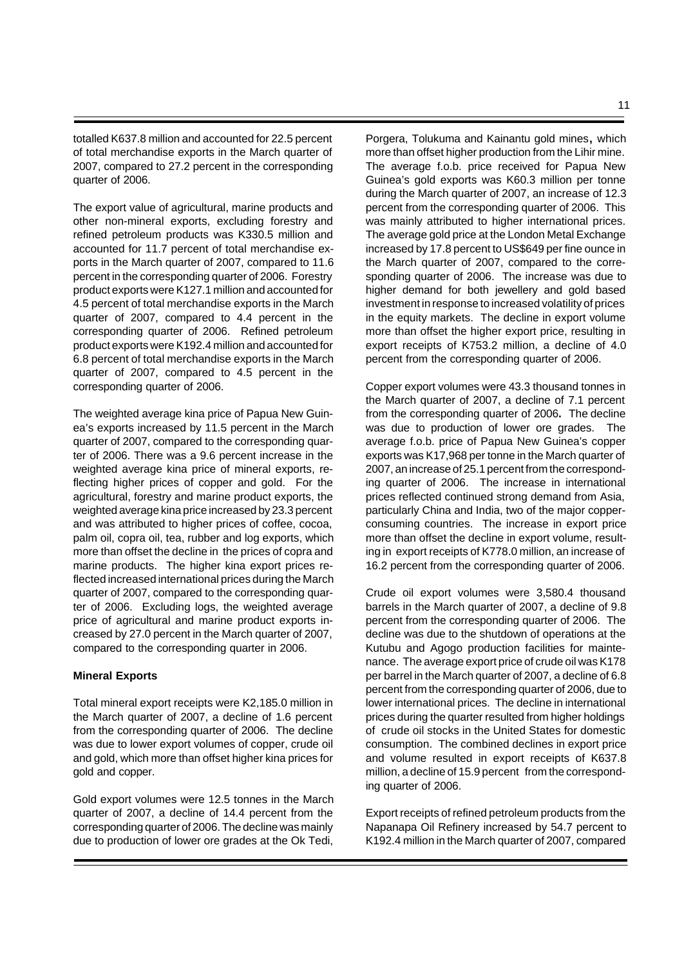totalled K637.8 million and accounted for 22.5 percent of total merchandise exports in the March quarter of 2007, compared to 27.2 percent in the corresponding quarter of 2006.

The export value of agricultural, marine products and other non-mineral exports, excluding forestry and refined petroleum products was K330.5 million and accounted for 11.7 percent of total merchandise exports in the March quarter of 2007, compared to 11.6 percent in the corresponding quarter of 2006. Forestry product exports were K127.1 million and accounted for 4.5 percent of total merchandise exports in the March quarter of 2007, compared to 4.4 percent in the corresponding quarter of 2006. Refined petroleum product exports were K192.4 million and accounted for 6.8 percent of total merchandise exports in the March quarter of 2007, compared to 4.5 percent in the corresponding quarter of 2006.

The weighted average kina price of Papua New Guinea's exports increased by 11.5 percent in the March quarter of 2007, compared to the corresponding quarter of 2006. There was a 9.6 percent increase in the weighted average kina price of mineral exports, reflecting higher prices of copper and gold. For the agricultural, forestry and marine product exports, the weighted average kina price increased by 23.3 percent and was attributed to higher prices of coffee, cocoa, palm oil, copra oil, tea, rubber and log exports, which more than offset the decline in the prices of copra and marine products. The higher kina export prices reflected increased international prices during the March quarter of 2007, compared to the corresponding quarter of 2006. Excluding logs, the weighted average price of agricultural and marine product exports increased by 27.0 percent in the March quarter of 2007, compared to the corresponding quarter in 2006.

#### **Mineral Exports**

Total mineral export receipts were K2,185.0 million in the March quarter of 2007, a decline of 1.6 percent from the corresponding quarter of 2006. The decline was due to lower export volumes of copper, crude oil and gold, which more than offset higher kina prices for gold and copper.

Gold export volumes were 12.5 tonnes in the March quarter of 2007, a decline of 14.4 percent from the corresponding quarter of 2006. The decline was mainly due to production of lower ore grades at the Ok Tedi,

Porgera, Tolukuma and Kainantu gold mines**,** which more than offset higher production from the Lihir mine. The average f.o.b. price received for Papua New Guinea's gold exports was K60.3 million per tonne during the March quarter of 2007, an increase of 12.3 percent from the corresponding quarter of 2006. This was mainly attributed to higher international prices. The average gold price at the London Metal Exchange increased by 17.8 percent to US\$649 per fine ounce in the March quarter of 2007, compared to the corresponding quarter of 2006. The increase was due to higher demand for both jewellery and gold based investment in response to increased volatility of prices in the equity markets. The decline in export volume more than offset the higher export price, resulting in export receipts of K753.2 million, a decline of 4.0 percent from the corresponding quarter of 2006.

Copper export volumes were 43.3 thousand tonnes in the March quarter of 2007, a decline of 7.1 percent from the corresponding quarter of 2006**.** The decline was due to production of lower ore grades. The average f.o.b. price of Papua New Guinea's copper exports was K17,968 per tonne in the March quarter of 2007, an increase of 25.1 percent from the corresponding quarter of 2006. The increase in international prices reflected continued strong demand from Asia, particularly China and India, two of the major copperconsuming countries. The increase in export price more than offset the decline in export volume, resulting in export receipts of K778.0 million, an increase of 16.2 percent from the corresponding quarter of 2006.

Crude oil export volumes were 3,580.4 thousand barrels in the March quarter of 2007, a decline of 9.8 percent from the corresponding quarter of 2006. The decline was due to the shutdown of operations at the Kutubu and Agogo production facilities for maintenance. The average export price of crude oil was K178 per barrel in the March quarter of 2007, a decline of 6.8 percent from the corresponding quarter of 2006, due to lower international prices. The decline in international prices during the quarter resulted from higher holdings of crude oil stocks in the United States for domestic consumption. The combined declines in export price and volume resulted in export receipts of K637.8 million, a decline of 15.9 percent from the corresponding quarter of 2006.

Export receipts of refined petroleum products from the Napanapa Oil Refinery increased by 54.7 percent to K192.4 million in the March quarter of 2007, compared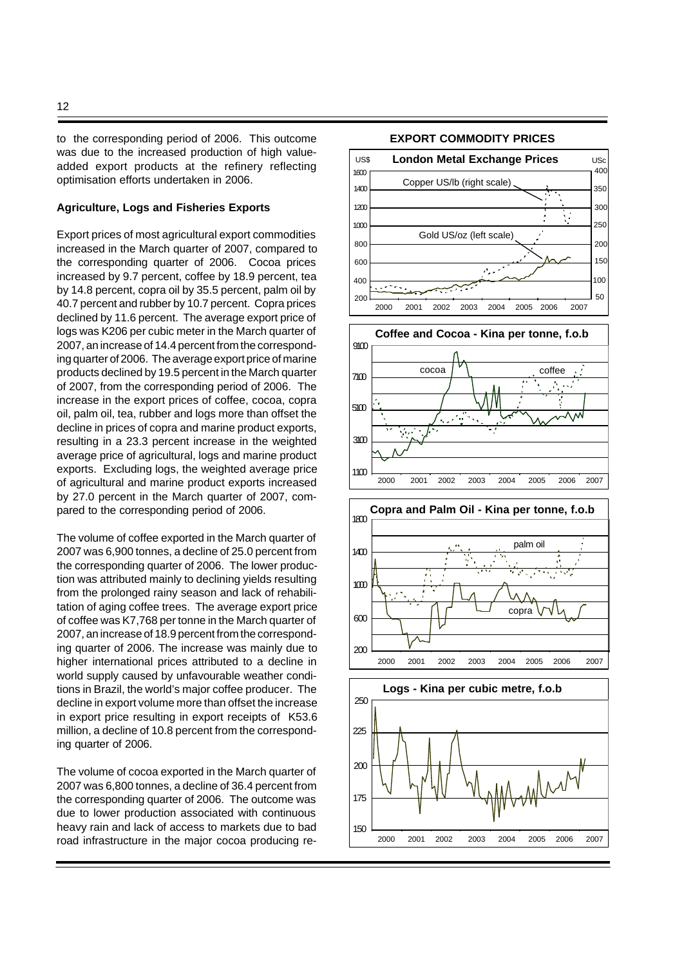to the corresponding period of 2006. This outcome was due to the increased production of high valueadded export products at the refinery reflecting optimisation efforts undertaken in 2006.

#### **Agriculture, Logs and Fisheries Exports**

Export prices of most agricultural export commodities increased in the March quarter of 2007, compared to the corresponding quarter of 2006. Cocoa prices increased by 9.7 percent, coffee by 18.9 percent, tea by 14.8 percent, copra oil by 35.5 percent, palm oil by 40.7 percent and rubber by 10.7 percent. Copra prices declined by 11.6 percent. The average export price of logs was K206 per cubic meter in the March quarter of 2007, an increase of 14.4 percent from the corresponding quarter of 2006. The average export price of marine products declined by 19.5 percent in the March quarter of 2007, from the corresponding period of 2006. The increase in the export prices of coffee, cocoa, copra oil, palm oil, tea, rubber and logs more than offset the decline in prices of copra and marine product exports, resulting in a 23.3 percent increase in the weighted average price of agricultural, logs and marine product exports. Excluding logs, the weighted average price of agricultural and marine product exports increased by 27.0 percent in the March quarter of 2007, compared to the corresponding period of 2006.

The volume of coffee exported in the March quarter of 2007 was 6,900 tonnes, a decline of 25.0 percent from the corresponding quarter of 2006. The lower production was attributed mainly to declining yields resulting from the prolonged rainy season and lack of rehabilitation of aging coffee trees.The average export price of coffee was K7,768 per tonne in the March quarter of 2007, an increase of 18.9 percent from the corresponding quarter of 2006. The increase was mainly due to higher international prices attributed to a decline in world supply caused by unfavourable weather conditions in Brazil, the world's major coffee producer. The decline in export volume more than offset the increase in export price resulting in export receipts of K53.6 million, a decline of 10.8 percent from the corresponding quarter of 2006.

The volume of cocoa exported in the March quarter of 2007 was 6,800 tonnes, a decline of 36.4 percent from the corresponding quarter of 2006. The outcome was due to lower production associated with continuous heavy rain and lack of access to markets due to bad road infrastructure in the major cocoa producing re-

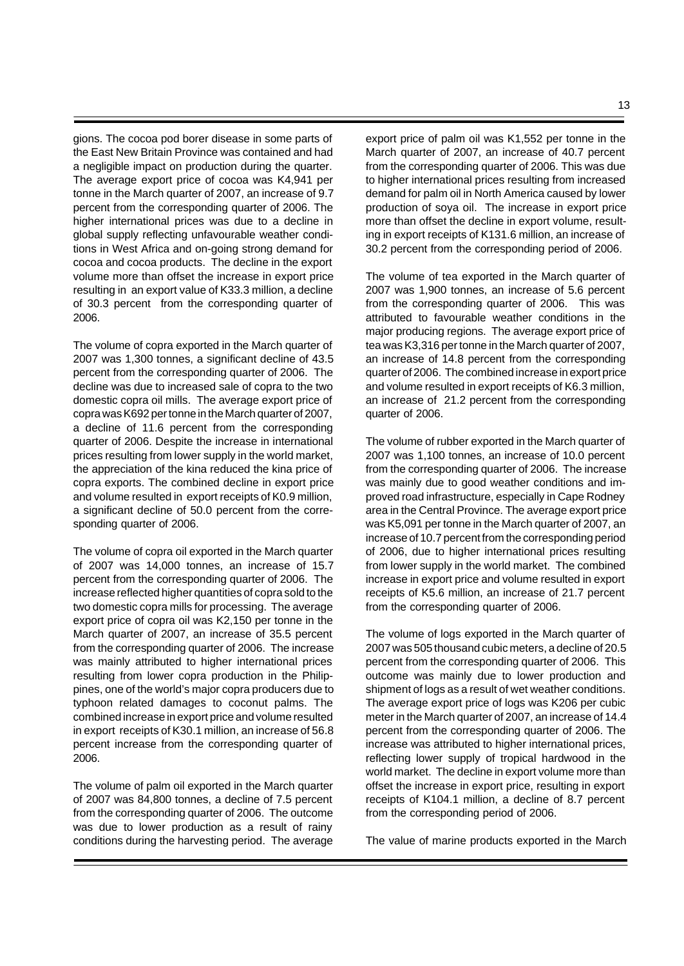gions. The cocoa pod borer disease in some parts of the East New Britain Province was contained and had a negligible impact on production during the quarter. The average export price of cocoa was K4,941 per tonne in the March quarter of 2007, an increase of 9.7 percent from the corresponding quarter of 2006. The higher international prices was due to a decline in global supply reflecting unfavourable weather conditions in West Africa and on-going strong demand for cocoa and cocoa products. The decline in the export volume more than offset the increase in export price resulting in an export value of K33.3 million, a decline of 30.3 percent from the corresponding quarter of 2006.

The volume of copra exported in the March quarter of 2007 was 1,300 tonnes, a significant decline of 43.5 percent from the corresponding quarter of 2006. The decline was due to increased sale of copra to the two domestic copra oil mills. The average export price of copra was K692 per tonne in the March quarter of 2007, a decline of 11.6 percent from the corresponding quarter of 2006. Despite the increase in international prices resulting from lower supply in the world market, the appreciation of the kina reduced the kina price of copra exports. The combined decline in export price and volume resulted in export receipts of K0.9 million, a significant decline of 50.0 percent from the corresponding quarter of 2006.

The volume of copra oil exported in the March quarter of 2007 was 14,000 tonnes, an increase of 15.7 percent from the corresponding quarter of 2006. The increase reflected higher quantities of copra sold to the two domestic copra mills for processing. The average export price of copra oil was K2,150 per tonne in the March quarter of 2007, an increase of 35.5 percent from the corresponding quarter of 2006. The increase was mainly attributed to higher international prices resulting from lower copra production in the Philippines, one of the world's major copra producers due to typhoon related damages to coconut palms. The combined increase in export price and volume resulted in export receipts of K30.1 million, an increase of 56.8 percent increase from the corresponding quarter of 2006.

The volume of palm oil exported in the March quarter of 2007 was 84,800 tonnes, a decline of 7.5 percent from the corresponding quarter of 2006. The outcome was due to lower production as a result of rainy conditions during the harvesting period. The average

export price of palm oil was K1,552 per tonne in the March quarter of 2007, an increase of 40.7 percent from the corresponding quarter of 2006. This was due to higher international prices resulting from increased demand for palm oil in North America caused by lower production of soya oil. The increase in export price more than offset the decline in export volume, resulting in export receipts of K131.6 million, an increase of 30.2 percent from the corresponding period of 2006.

The volume of tea exported in the March quarter of 2007 was 1,900 tonnes, an increase of 5.6 percent from the corresponding quarter of 2006. This was attributed to favourable weather conditions in the major producing regions. The average export price of tea was K3,316 per tonne in the March quarter of 2007, an increase of 14.8 percent from the corresponding quarter of 2006. The combined increase in export price and volume resulted in export receipts of K6.3 million, an increase of 21.2 percent from the corresponding quarter of 2006.

The volume of rubber exported in the March quarter of 2007 was 1,100 tonnes, an increase of 10.0 percent from the corresponding quarter of 2006. The increase was mainly due to good weather conditions and improved road infrastructure, especially in Cape Rodney area in the Central Province. The average export price was K5,091 per tonne in the March quarter of 2007, an increase of 10.7 percent from the corresponding period of 2006, due to higher international prices resulting from lower supply in the world market. The combined increase in export price and volume resulted in export receipts of K5.6 million, an increase of 21.7 percent from the corresponding quarter of 2006.

The volume of logs exported in the March quarter of 2007 was 505 thousand cubic meters, a decline of 20.5 percent from the corresponding quarter of 2006. This outcome was mainly due to lower production and shipment of logs as a result of wet weather conditions. The average export price of logs was K206 per cubic meter in the March quarter of 2007, an increase of 14.4 percent from the corresponding quarter of 2006. The increase was attributed to higher international prices, reflecting lower supply of tropical hardwood in the world market. The decline in export volume more than offset the increase in export price, resulting in export receipts of K104.1 million, a decline of 8.7 percent from the corresponding period of 2006.

The value of marine products exported in the March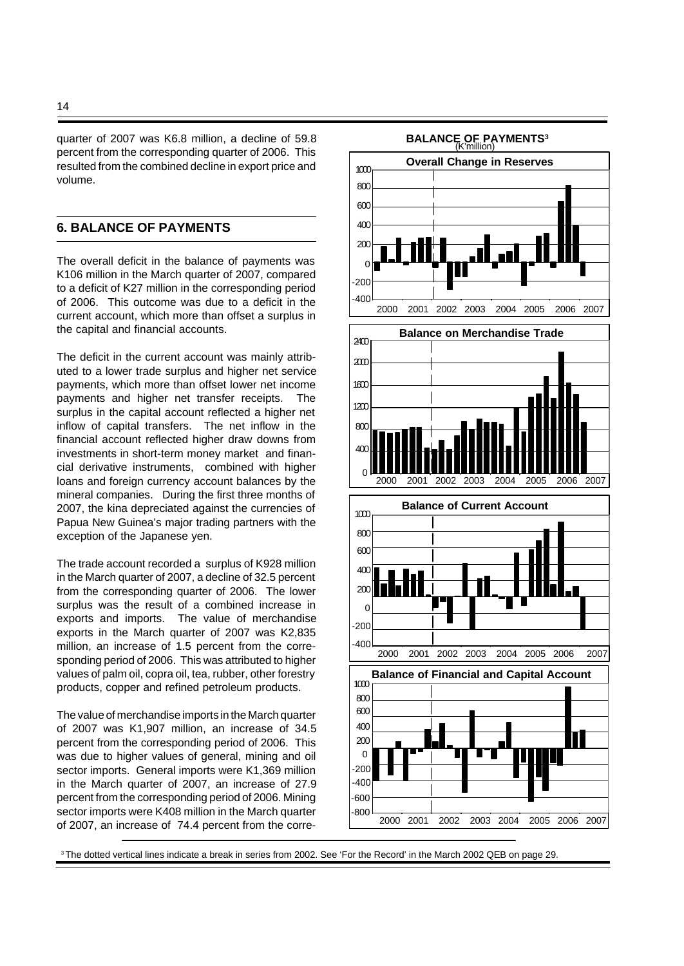quarter of 2007 was K6.8 million, a decline of 59.8 percent from the corresponding quarter of 2006. This resulted from the combined decline in export price and volume.

# **6. BALANCE OF PAYMENTS**

The overall deficit in the balance of payments was K106 million in the March quarter of 2007, compared to a deficit of K27 million in the corresponding period of 2006. This outcome was due to a deficit in the current account, which more than offset a surplus in the capital and financial accounts.

The deficit in the current account was mainly attributed to a lower trade surplus and higher net service payments, which more than offset lower net income payments and higher net transfer receipts. The surplus in the capital account reflected a higher net inflow of capital transfers. The net inflow in the financial account reflected higher draw downs from investments in short-term money market and financial derivative instruments, combined with higher loans and foreign currency account balances by the mineral companies. During the first three months of 2007, the kina depreciated against the currencies of Papua New Guinea's major trading partners with the exception of the Japanese yen.

The trade account recorded a surplus of K928 million in the March quarter of 2007, a decline of 32.5 percent from the corresponding quarter of 2006. The lower surplus was the result of a combined increase in exports and imports. The value of merchandise exports in the March quarter of 2007 was K2,835 million, an increase of 1.5 percent from the corresponding period of 2006. This was attributed to higher values of palm oil, copra oil, tea, rubber, other forestry products, copper and refined petroleum products.

The value of merchandise imports in the March quarter of 2007 was K1,907 million, an increase of 34.5 percent from the corresponding period of 2006. This was due to higher values of general, mining and oil sector imports. General imports were K1,369 million in the March quarter of 2007, an increase of 27.9 percent from the corresponding period of 2006. Mining sector imports were K408 million in the March quarter of 2007, an increase of 74.4 percent from the corre-



<sup>3</sup>The dotted vertical lines indicate a break in series from 2002. See 'For the Record' in the March 2002 QEB on page 29.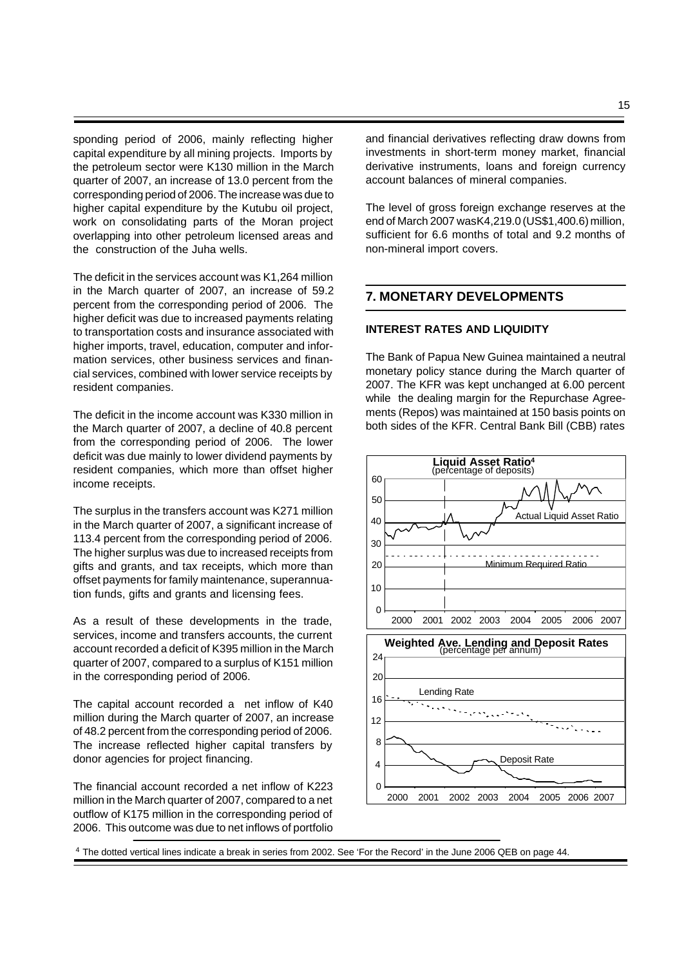sponding period of 2006, mainly reflecting higher capital expenditure by all mining projects. Imports by the petroleum sector were K130 million in the March quarter of 2007, an increase of 13.0 percent from the corresponding period of 2006. The increase was due to higher capital expenditure by the Kutubu oil project, work on consolidating parts of the Moran project overlapping into other petroleum licensed areas and the construction of the Juha wells.

The deficit in the services account was K1,264 million in the March quarter of 2007, an increase of 59.2 percent from the corresponding period of 2006. The higher deficit was due to increased payments relating to transportation costs and insurance associated with higher imports, travel, education, computer and information services, other business services and financial services, combined with lower service receipts by resident companies.

The deficit in the income account was K330 million in the March quarter of 2007, a decline of 40.8 percent from the corresponding period of 2006. The lower deficit was due mainly to lower dividend payments by resident companies, which more than offset higher income receipts.

The surplus in the transfers account was K271 million in the March quarter of 2007, a significant increase of 113.4 percent from the corresponding period of 2006. The higher surplus was due to increased receipts from gifts and grants, and tax receipts, which more than offset payments for family maintenance, superannuation funds, gifts and grants and licensing fees.

As a result of these developments in the trade, services, income and transfers accounts, the current account recorded a deficit of K395 million in the March quarter of 2007, compared to a surplus of K151 million in the corresponding period of 2006.

The capital account recorded a net inflow of K40 million during the March quarter of 2007, an increase of 48.2 percent from the corresponding period of 2006. The increase reflected higher capital transfers by donor agencies for project financing.

The financial account recorded a net inflow of K223 million in the March quarter of 2007, compared to a net outflow of K175 million in the corresponding period of 2006. This outcome was due to net inflows of portfolio

and financial derivatives reflecting draw downs from investments in short-term money market, financial derivative instruments, loans and foreign currency account balances of mineral companies.

The level of gross foreign exchange reserves at the end of March 2007 was K4,219.0 (US\$1,400.6) million, sufficient for 6.6 months of total and 9.2 months of non-mineral import covers.

# **7. MONETARY DEVELOPMENTS**

#### **INTEREST RATES AND LIQUIDITY**

The Bank of Papua New Guinea maintained a neutral monetary policy stance during the March quarter of 2007. The KFR was kept unchanged at 6.00 percent while the dealing margin for the Repurchase Agreements (Repos) was maintained at 150 basis points on both sides of the KFR. Central Bank Bill (CBB) rates



<sup>4</sup> The dotted vertical lines indicate a break in series from 2002. See 'For the Record' in the June 2006 QEB on page 44.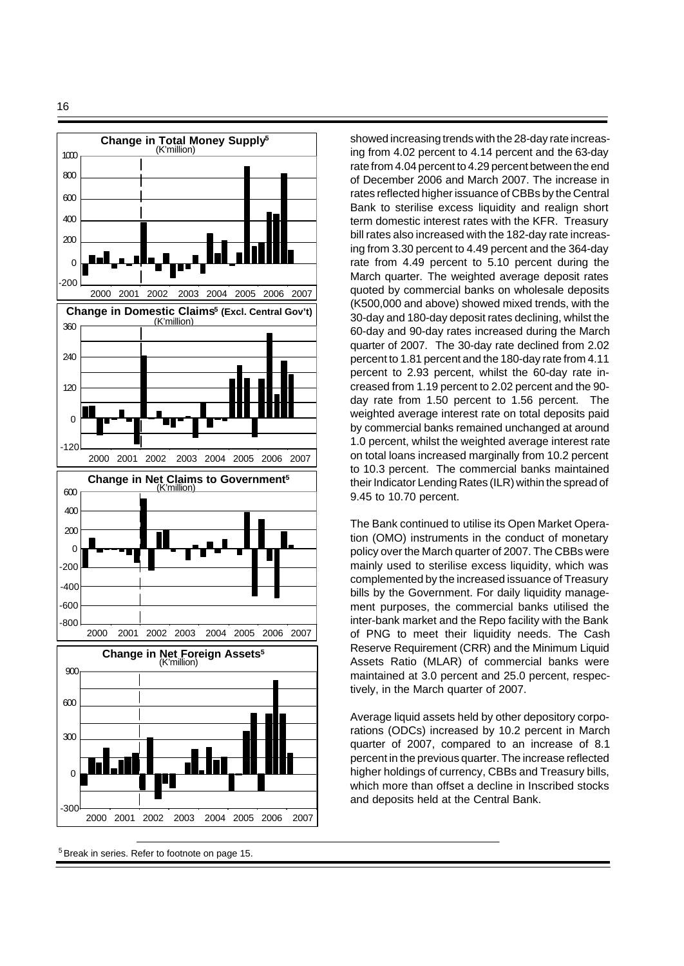

<sup>5</sup>Break in series. Refer to footnote on page 15.

showed increasing trends with the 28-day rate increasing from 4.02 percent to 4.14 percent and the 63-day rate from 4.04 percent to 4.29 percent between the end of December 2006 and March 2007. The increase in rates reflected higher issuance of CBBs by the Central Bank to sterilise excess liquidity and realign short term domestic interest rates with the KFR. Treasury bill rates also increased with the 182-day rate increasing from 3.30 percent to 4.49 percent and the 364-day rate from 4.49 percent to 5.10 percent during the March quarter. The weighted average deposit rates quoted by commercial banks on wholesale deposits (K500,000 and above) showed mixed trends, with the 30-day and 180-day deposit rates declining, whilst the 60-day and 90-day rates increased during the March quarter of 2007. The 30-day rate declined from 2.02 percent to 1.81 percent and the 180-day rate from 4.11 percent to 2.93 percent, whilst the 60-day rate increased from 1.19 percent to 2.02 percent and the 90 day rate from 1.50 percent to 1.56 percent. The weighted average interest rate on total deposits paid by commercial banks remained unchanged at around 1.0 percent, whilst the weighted average interest rate on total loans increased marginally from 10.2 percent to 10.3 percent. The commercial banks maintained their Indicator Lending Rates (ILR) within the spread of 9.45 to 10.70 percent.

The Bank continued to utilise its Open Market Operation (OMO) instruments in the conduct of monetary policy over the March quarter of 2007. The CBBs were mainly used to sterilise excess liquidity, which was complemented by the increased issuance of Treasury bills by the Government. For daily liquidity management purposes, the commercial banks utilised the inter-bank market and the Repo facility with the Bank of PNG to meet their liquidity needs. The Cash Reserve Requirement (CRR) and the Minimum Liquid Assets Ratio (MLAR) of commercial banks were maintained at 3.0 percent and 25.0 percent, respectively, in the March quarter of 2007.

Average liquid assets held by other depository corporations (ODCs) increased by 10.2 percent in March quarter of 2007, compared to an increase of 8.1 percent in the previous quarter. The increase reflected higher holdings of currency, CBBs and Treasury bills, which more than offset a decline in Inscribed stocks and deposits held at the Central Bank.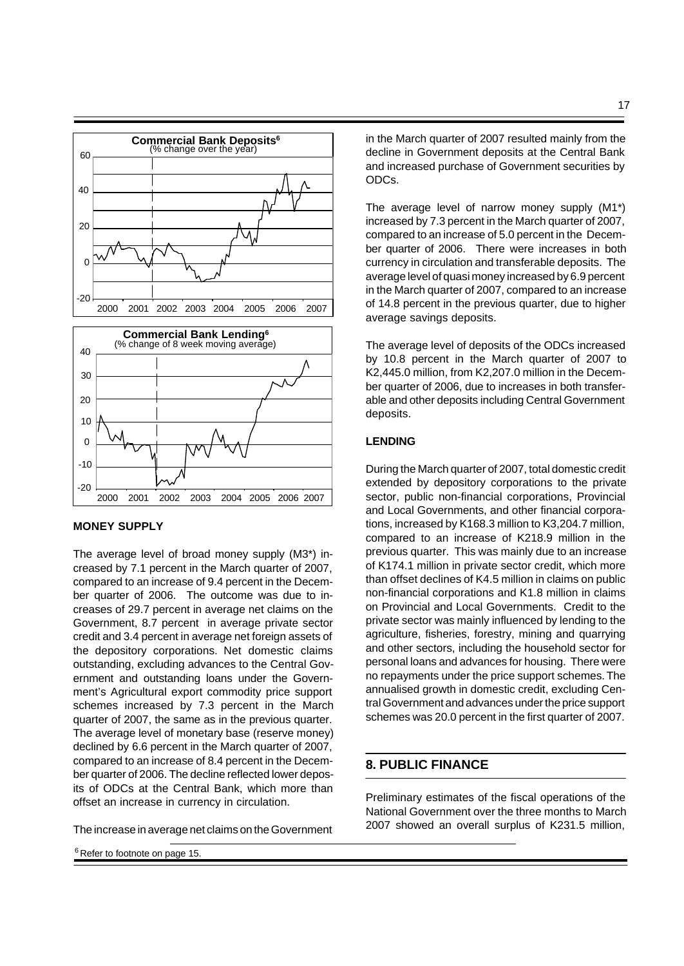

#### **MONEY SUPPLY**

The average level of broad money supply (M3\*) increased by 7.1 percent in the March quarter of 2007, compared to an increase of 9.4 percent in the December quarter of 2006. The outcome was due to increases of 29.7 percent in average net claims on the Government, 8.7 percent in average private sector credit and 3.4 percent in average net foreign assets of the depository corporations. Net domestic claims outstanding, excluding advances to the Central Government and outstanding loans under the Government's Agricultural export commodity price support schemes increased by 7.3 percent in the March quarter of 2007, the same as in the previous quarter. The average level of monetary base (reserve money) declined by 6.6 percent in the March quarter of 2007, compared to an increase of 8.4 percent in the December quarter of 2006. The decline reflected lower deposits of ODCs at the Central Bank, which more than offset an increase in currency in circulation.

The increase in average net claims on the Government

<sup>6</sup> Refer to footnote on page 15.

in the March quarter of 2007 resulted mainly from the decline in Government deposits at the Central Bank and increased purchase of Government securities by ODCs.

The average level of narrow money supply (M1\*) increased by 7.3 percent in the March quarter of 2007, compared to an increase of 5.0 percent in the December quarter of 2006. There were increases in both currency in circulation and transferable deposits. The average level of quasi money increased by 6.9 percent in the March quarter of 2007, compared to an increase of 14.8 percent in the previous quarter, due to higher average savings deposits.

The average level of deposits of the ODCs increased by 10.8 percent in the March quarter of 2007 to K2,445.0 million, from K2,207.0 million in the December quarter of 2006, due to increases in both transferable and other deposits including Central Government deposits.

#### **LENDING**

During the March quarter of 2007, total domestic credit extended by depository corporations to the private sector, public non-financial corporations, Provincial and Local Governments, and other financial corporations, increased by K168.3 million to K3,204.7 million, compared to an increase of K218.9 million in the previous quarter. This was mainly due to an increase of K174.1 million in private sector credit, which more than offset declines of K4.5 million in claims on public non-financial corporations and K1.8 million in claims on Provincial and Local Governments. Credit to the private sector was mainly influenced by lending to the agriculture, fisheries, forestry, mining and quarrying and other sectors, including the household sector for personal loans and advances for housing. There were no repayments under the price support schemes.The annualised growth in domestic credit, excluding Central Government and advances under the price support schemes was 20.0 percent in the first quarter of 2007.

# **8. PUBLIC FINANCE**

Preliminary estimates of the fiscal operations of the National Government over the three months to March 2007 showed an overall surplus of K231.5 million,